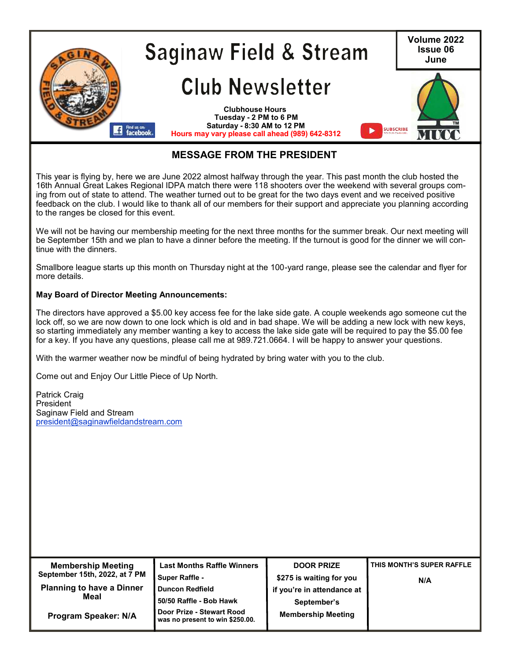

## **MESSAGE FROM THE PRESIDENT**

This year is flying by, here we are June 2022 almost halfway through the year. This past month the club hosted the 16th Annual Great Lakes Regional IDPA match there were 118 shooters over the weekend with several groups coming from out of state to attend. The weather turned out to be great for the two days event and we received positive feedback on the club. I would like to thank all of our members for their support and appreciate you planning according to the ranges be closed for this event.

We will not be having our membership meeting for the next three months for the summer break. Our next meeting will be September 15th and we plan to have a dinner before the meeting. If the turnout is good for the dinner we will continue with the dinners.

Smallbore league starts up this month on Thursday night at the 100-yard range, please see the calendar and flyer for more details.

#### **May Board of Director Meeting Announcements:**

The directors have approved a \$5.00 key access fee for the lake side gate. A couple weekends ago someone cut the lock off, so we are now down to one lock which is old and in bad shape. We will be adding a new lock with new keys, so starting immediately any member wanting a key to access the lake side gate will be required to pay the \$5.00 fee for a key. If you have any questions, please call me at 989.721.0664. I will be happy to answer your questions.

With the warmer weather now be mindful of being hydrated by bring water with you to the club.

Come out and Enjoy Our Little Piece of Up North.

Patrick Craig President Saginaw Field and Stream [president@saginawfieldandstream.com](mailto:president@saginawfieldandstream.com)

| <b>Membership Meeting</b>        | <b>Last Months Raffle Winners</b>                            | <b>DOOR PRIZE</b>          | THIS MONTH'S SUPER RAFFLE |  |
|----------------------------------|--------------------------------------------------------------|----------------------------|---------------------------|--|
| September 15th, 2022, at 7 PM    | <b>Super Raffle -</b>                                        | \$275 is waiting for you   | N/A                       |  |
| <b>Planning to have a Dinner</b> | <b>Duncon Redfield</b>                                       | if you're in attendance at |                           |  |
| Meal                             | 50/50 Raffle - Bob Hawk                                      | September's                |                           |  |
| Program Speaker: N/A             | Door Prize - Stewart Rood<br>was no present to win \$250.00. | <b>Membership Meeting</b>  |                           |  |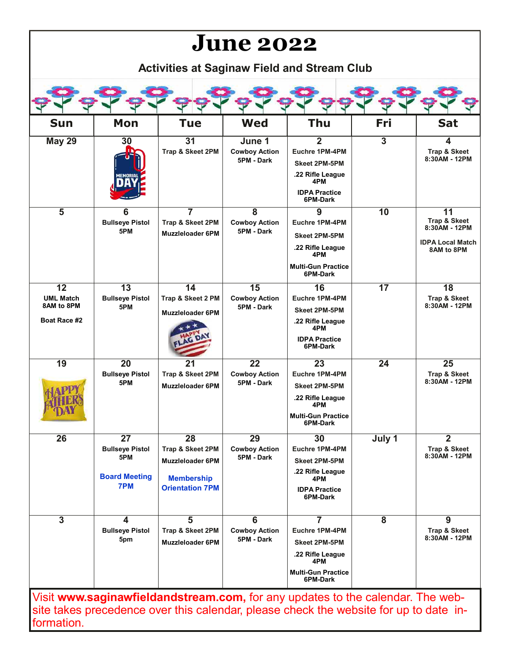# **June 2022**

**Activities at Saginaw Field and Stream Club**

| <b>Sun</b>                                                        | Mon                                                                             | <b>Tue</b>                                                                                                    | <b>Wed</b>                                                    | Thu                                                                                                                          | Fri             | <b>Sat</b>                                                                   |
|-------------------------------------------------------------------|---------------------------------------------------------------------------------|---------------------------------------------------------------------------------------------------------------|---------------------------------------------------------------|------------------------------------------------------------------------------------------------------------------------------|-----------------|------------------------------------------------------------------------------|
| <b>May 29</b>                                                     | 30                                                                              | 31<br>Trap & Skeet 2PM                                                                                        | June 1<br><b>Cowboy Action</b><br>5PM - Dark                  | $\overline{2}$<br>Euchre 1PM-4PM<br><b>Skeet 2PM-5PM</b><br>.22 Rifle League<br>4PM<br><b>IDPA Practice</b><br>6PM-Dark      | $\overline{3}$  | 4<br>Trap & Skeet<br>8:30AM - 12PM                                           |
| $\overline{\mathbf{5}}$                                           | 6<br><b>Bullseye Pistol</b><br>5PM                                              | $\overline{7}$<br>Trap & Skeet 2PM<br><b>Muzzleloader 6PM</b>                                                 | $\overline{\mathbf{8}}$<br><b>Cowboy Action</b><br>5PM - Dark | 9<br>Euchre 1PM-4PM<br><b>Skeet 2PM-5PM</b><br>.22 Rifle League<br>4PM<br><b>Multi-Gun Practice</b><br>6PM-Dark              | $\overline{10}$ | 11<br>Trap & Skeet<br>8:30AM - 12PM<br><b>IDPA Local Match</b><br>8AM to 8PM |
| $\overline{12}$<br><b>UML Match</b><br>8AM to 8PM<br>Boat Race #2 | $\overline{13}$<br><b>Bullseye Pistol</b><br>5PM                                | $\overline{14}$<br>Trap & Skeet 2 PM<br><b>Muzzleloader 6PM</b>                                               | $\overline{15}$<br><b>Cowboy Action</b><br>5PM - Dark         | 16<br>Euchre 1PM-4PM<br><b>Skeet 2PM-5PM</b><br>.22 Rifle League<br>4PM<br><b>IDPA Practice</b><br>6PM-Dark                  | $\overline{17}$ | $\overline{18}$<br>Trap & Skeet<br>8:30AM - 12PM                             |
| $\overline{19}$                                                   | $\overline{20}$<br><b>Bullseye Pistol</b><br>5PM                                | $\overline{21}$<br>Trap & Skeet 2PM<br><b>Muzzleloader 6PM</b>                                                | $\overline{22}$<br><b>Cowboy Action</b><br>5PM - Dark         | 23<br>Euchre 1PM-4PM<br><b>Skeet 2PM-5PM</b><br>.22 Rifle League<br>4PM<br><b>Multi-Gun Practice</b><br>6PM-Dark             | $\overline{24}$ | $\overline{25}$<br>Trap & Skeet<br>8:30AM - 12PM                             |
| 26                                                                | $\overline{27}$<br><b>Bullseye Pistol</b><br>5PM<br><b>Board Meeting</b><br>7PM | $\overline{28}$<br>Trap & Skeet 2PM<br><b>Muzzleloader 6PM</b><br><b>Membership</b><br><b>Orientation 7PM</b> | 29<br><b>Cowboy Action</b><br>5PM - Dark                      | 30<br>Euchre 1PM-4PM<br>Skeet 2PM-5PM<br>.22 Rifle League<br>4PM<br><b>IDPA Practice</b><br>6PM-Dark                         | July 1          | $\overline{2}$<br>Trap & Skeet<br>8:30AM - 12PM                              |
| $\overline{3}$                                                    | 4<br><b>Bullseye Pistol</b><br>5pm                                              | $\overline{5}$<br>Trap & Skeet 2PM<br><b>Muzzleloader 6PM</b>                                                 | 6<br><b>Cowboy Action</b><br>5PM - Dark                       | $\overline{7}$<br>Euchre 1PM-4PM<br><b>Skeet 2PM-5PM</b><br>.22 Rifle League<br>4PM<br><b>Multi-Gun Practice</b><br>6PM-Dark | 8               | 9<br>Trap & Skeet<br>8:30AM - 12PM                                           |

Visit **[www.saginawfieldandstream.com,](http://www.saginawfieldandstream.com)** for any updates to the calendar. The website takes precedence over this calendar, please check the website for up to date information.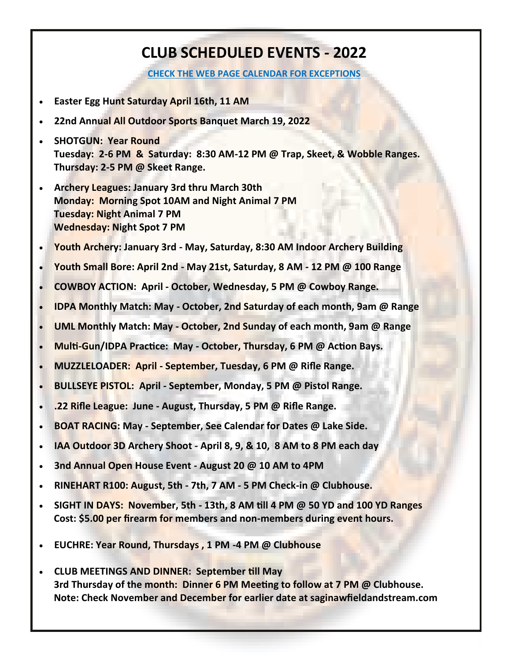## **CLUB SCHEDULED EVENTS - 2022**

**[CHECK THE WEB PAGE CALENDAR FOR EXCEPTIONS](https://saginawfieldandstream.com/calendar/)**

- **Easter Egg Hunt Saturday April 16th, 11 AM**
- **22nd Annual All Outdoor Sports Banquet March 19, 2022**
- **SHOTGUN: Year Round Tuesday: 2-6 PM & Saturday: 8:30 AM-12 PM @ Trap, Skeet, & Wobble Ranges. Thursday: 2-5 PM @ Skeet Range.**
- **Archery Leagues: January 3rd thru March 30th Monday: Morning Spot 10AM and Night Animal 7 PM Tuesday: Night Animal 7 PM Wednesday: Night Spot 7 PM**
- **Youth Archery: January 3rd - May, Saturday, 8:30 AM Indoor Archery Building**
- **Youth Small Bore: April 2nd - May 21st, Saturday, 8 AM - 12 PM @ 100 Range**
- **COWBOY ACTION: April - October, Wednesday, 5 PM @ Cowboy Range.**
- **IDPA Monthly Match: May - October, 2nd Saturday of each month, 9am @ Range**
- **UML Monthly Match: May - October, 2nd Sunday of each month, 9am @ Range**
- **Multi-Gun/IDPA Practice: May - October, Thursday, 6 PM @ Action Bays.**
- **MUZZLELOADER: April - September, Tuesday, 6 PM @ Rifle Range.**
- **BULLSEYE PISTOL: April - September, Monday, 5 PM @ Pistol Range.**
- **.22 Rifle League: June - August, Thursday, 5 PM @ Rifle Range.**
- **BOAT RACING: May - September, See Calendar for Dates @ Lake Side.**
- **IAA Outdoor 3D Archery Shoot - April 8, 9, & 10, 8 AM to 8 PM each day**
- **3nd Annual Open House Event - August 20 @ 10 AM to 4PM**
- **RINEHART R100: August, 5th - 7th, 7 AM - 5 PM Check-in @ Clubhouse.**
- **SIGHT IN DAYS: November, 5th - 13th, 8 AM till 4 PM @ 50 YD and 100 YD Ranges Cost: \$5.00 per firearm for members and non-members during event hours.**
- **EUCHRE: Year Round, Thursdays , 1 PM -4 PM @ Clubhouse**
- **CLUB MEETINGS AND DINNER: September till May 3rd Thursday of the month: Dinner 6 PM Meeting to follow at 7 PM @ Clubhouse. Note: Check November and December for earlier date at saginawfieldandstream.com**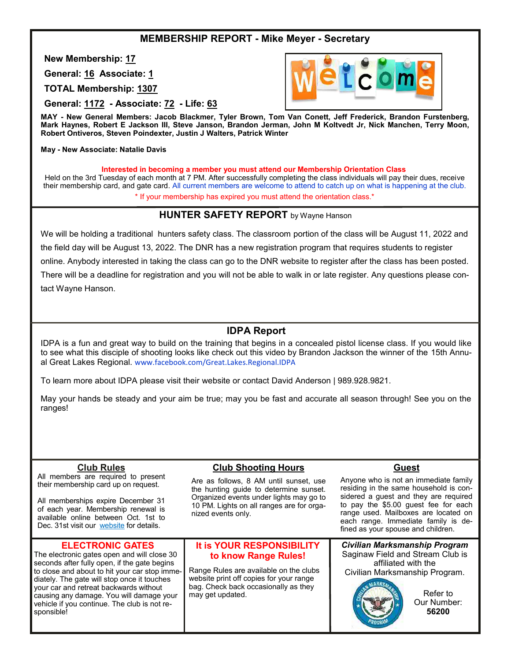## **MEMBERSHIP REPORT - Mike Meyer - Secretary**

**New Membership: 17**

**General: 16 Associate: 1**

**TOTAL Membership: 1307**

**General: 1172 - Associate: 72 - Life: 63**

**MAY - New General Members: Jacob Blackmer, Tyler Brown, Tom Van Conett, Jeff Frederick, Brandon Furstenberg, Mark Haynes, Robert E Jackson III, Steve Janson, Brandon Jerman, John M Koltvedt Jr, Nick Manchen, Terry Moon, Robert Ontiveros, Steven Poindexter, Justin J Walters, Patrick Winter**

#### **May - New Associate: Natalie Davis**

**Interested in becoming a member you must attend our Membership Orientation Class**

Held on the 3rd Tuesday of each month at 7 PM. After successfully completing the class individuals will pay their dues, receive their membership card, and gate card. All current members are welcome to attend to catch up on what is happening at the club. \* If your membership has expired you must attend the orientation class.\*

#### **HUNTER SAFETY REPORT** by Wayne Hanson

We will be holding a traditional hunters safety class. The classroom portion of the class will be August 11, 2022 and the field day will be August 13, 2022. The DNR has a new registration program that requires students to register online. Anybody interested in taking the class can go to the DNR website to register after the class has been posted. There will be a deadline for registration and you will not be able to walk in or late register. Any questions please contact Wayne Hanson.

#### **IDPA Report**

IDPA is a fun and great way to build on the training that begins in a concealed pistol license class. If you would like to see what this disciple of shooting looks like check out this video by Brandon Jackson the winner of the 15th Annual Great Lakes Regional. www.facebook.com/Great.Lakes.Regional.IDPA

To learn more about IDPA please visit their website or contact David Anderson | 989.928.9821.

May your hands be steady and your aim be true; may you be fast and accurate all season through! See you on the ranges!

#### **Club Rules**

All members are required to present their membership card up on request.

All memberships expire December 31 of each year. Membership renewal is available online between Oct. 1st to Dec. 31st visit our [website](https://saginawfieldandstream.com/membership-renewal/) for details.

#### **ELECTRONIC GATES**

The electronic gates open and will close 30 seconds after fully open, if the gate begins to close and about to hit your car stop immediately. The gate will stop once it touches your car and retreat backwards without causing any damage. You will damage your vehicle if you continue. The club is not responsible!

#### **Club Shooting Hours**

Are as follows, 8 AM until sunset, use the hunting guide to determine sunset. Organized events under lights may go to 10 PM. Lights on all ranges are for organized events only.

#### **It is YOUR RESPONSIBILITY to know Range Rules!**

Range Rules are available on the clubs website print off copies for your range bag. Check back occasionally as they may get updated.

# **Guest**

Anyone who is not an immediate family residing in the same household is considered a quest and they are required to pay the \$5.00 guest fee for each range used. Mailboxes are located on each range. Immediate family is defined as your spouse and children.

*Civilian Marksmanship Program*  Saginaw Field and Stream Club is affiliated with the Civilian Marksmanship Program.



Refer to Our Number: **56200**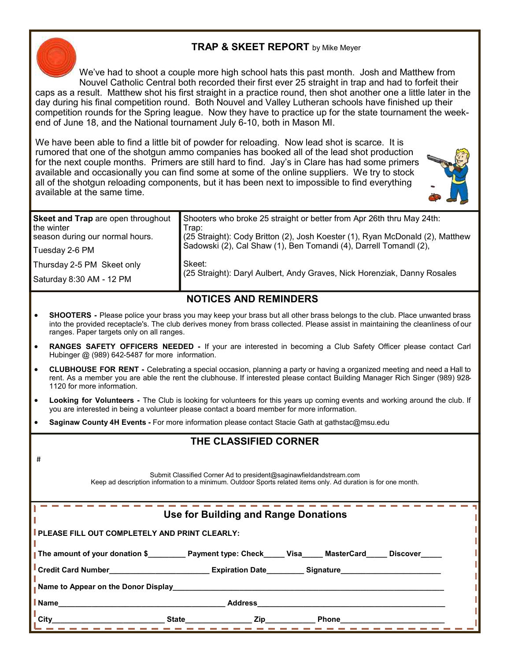## **TRAP & SKEET REPORT** by Mike Meyer



#

We've had to shoot a couple more high school hats this past month. Josh and Matthew from Nouvel Catholic Central both recorded their first ever 25 straight in trap and had to forfeit their caps as a result. Matthew shot his first straight in a practice round, then shot another one a little later in the day during his final competition round. Both Nouvel and Valley Lutheran schools have finished up their competition rounds for the Spring league. Now they have to practice up for the state tournament the weekend of June 18, and the National tournament July 6-10, both in Mason MI.

We have been able to find a little bit of powder for reloading. Now lead shot is scarce. It is rumored that one of the shotgun ammo companies has booked all of the lead shot production for the next couple months. Primers are still hard to find. Jay's in Clare has had some primers available and occasionally you can find some at some of the online suppliers. We try to stock all of the shotgun reloading components, but it has been next to impossible to find everything available at the same time.



| Saturday 8:30 AM - 12 PM                                                            |                                                                                                                                                                                                                                      |
|-------------------------------------------------------------------------------------|--------------------------------------------------------------------------------------------------------------------------------------------------------------------------------------------------------------------------------------|
| Thursday 2-5 PM Skeet only                                                          | Skeet:<br>(25 Straight): Daryl Aulbert, Andy Graves, Nick Horenziak, Danny Rosales                                                                                                                                                   |
| Tuesday 2-6 PM                                                                      |                                                                                                                                                                                                                                      |
| Skeet and Trap are open throughout<br>the winter<br>season during our normal hours. | Shooters who broke 25 straight or better from Apr 26th thru May 24th:<br>Trap:<br>(25 Straight): Cody Britton (2), Josh Koester (1), Ryan McDonald (2), Matthew<br>Sadowski (2), Cal Shaw (1), Ben Tomandi (4), Darrell Tomandl (2), |

## **NOTICES AND REMINDERS**

- **SHOOTERS -** Please police your brass you may keep your brass but all other brass belongs to the club. Place unwanted brass into the provided receptacle's. The club derives money from brass collected. Please assist in maintaining the cleanliness of our ranges. Paper targets only on all ranges.
- **RANGES SAFETY OFFICERS NEEDED -** If your are interested in becoming a Club Safety Officer please contact Carl Hubinger @ (989) 642-5487 for more information.
- **CLUBHOUSE FOR RENT -** Celebrating a special occasion, planning a party or having a organized meeting and need a Hall to rent. As a member you are able the rent the clubhouse. If interested please contact Building Manager Rich Singer (989) 928- 1120 for more information.
- **Looking for Volunteers -** The Club is looking for volunteers for this years up coming events and working around the club. If you are interested in being a volunteer please contact a board member for more information.
- **Saginaw County 4H Events -** For more information please contact Stacie Gath at gathstac@msu.edu

## **THE CLASSIFIED CORNER**

Submit Classified Corner Ad to president@saginawfieldandstream.com Keep ad description information to a minimum. Outdoor Sports related items only. Ad duration is for one month.

| Use for Building and Range Donations                                                                |         |                                                                                                                        |       |  |
|-----------------------------------------------------------------------------------------------------|---------|------------------------------------------------------------------------------------------------------------------------|-------|--|
| <b>PLEASE FILL OUT COMPLETELY AND PRINT CLEARLY:</b>                                                |         |                                                                                                                        |       |  |
| The amount of your donation \$ Payment type: Check Visa MasterCard Discover                         |         |                                                                                                                        |       |  |
| ■ Credit Card Number__________________________Expiration Date_________Signature____________________ |         |                                                                                                                        |       |  |
| Name to Appear on the Donor Display Name to Appear on the Donor Display                             |         |                                                                                                                        |       |  |
| l Name                                                                                              | Address |                                                                                                                        |       |  |
| <b>City</b>                                                                                         | State   | <u>Example 2</u> and 2 and 2 and 2 and 2 and 2 and 2 and 2 and 2 and 2 and 2 and 2 and 2 and 2 and 2 and 2 and 2 and 2 | Phone |  |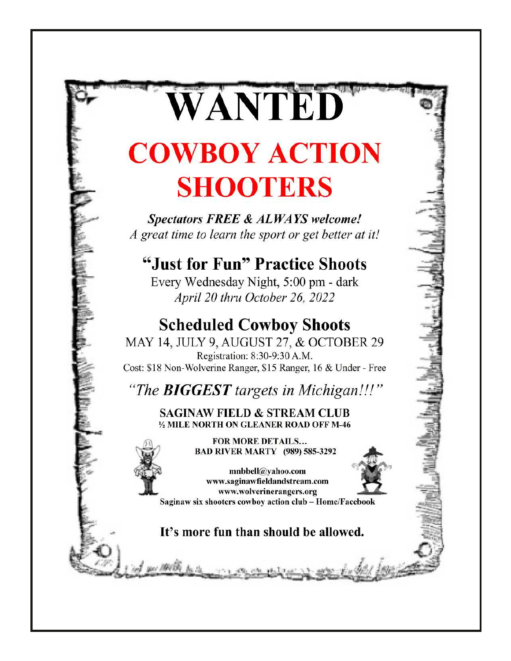# WANTED **COWBOY ACTION SHOOTERS**

**Spectators FREE & ALWAYS welcome!** A great time to learn the sport or get better at it!

# "Just for Fun" Practice Shoots

Every Wednesday Night, 5:00 pm - dark April 20 thru October 26, 2022

# **Scheduled Cowboy Shoots**

MAY 14, JULY 9, AUGUST 27, & OCTOBER 29 Registration: 8:30-9:30 A.M. Cost: \$18 Non-Wolverine Ranger, \$15 Ranger, 16 & Under - Free

"The **BIGGEST** targets in Michigan!!!"

**SAGINAW FIELD & STREAM CLUB** 1/2 MILE NORTH ON GLEANER ROAD OFF M-46

> **FOR MORE DETAILS... BAD RIVER MARTY (989) 585-3292**



www.saginawfieldandstream.com www.wolverinerangers.org Saginaw six shooters cowboy action club - Home/Facebook

mnbbell@yahoo.com

It's more fun than should be allowed.

you MASS to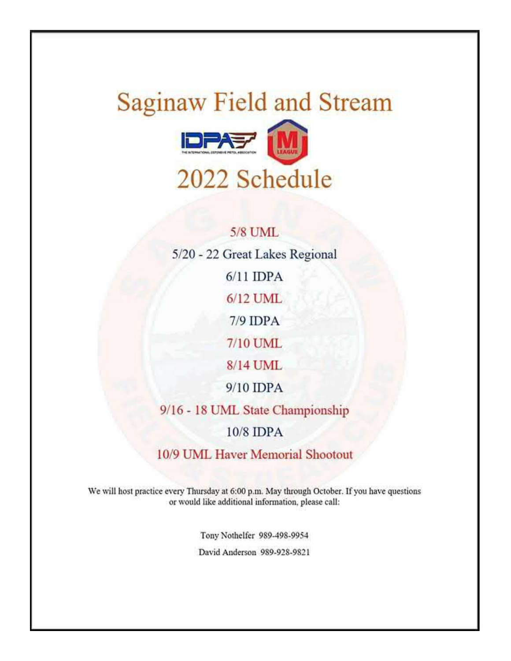# **Saginaw Field and Stream IDPAST** 2022 Schedule

# **5/8 UML** 5/20 - 22 Great Lakes Regional  $6/11$  IDPA  $6/12$  UML  $7/9$  IDPA 7/10 UML 8/14 UML 9/10 IDPA 9/16 - 18 UML State Championship  $10/8$  IDPA

10/9 UML Haver Memorial Shootout

We will host practice every Thursday at 6:00 p.m. May through October. If you have questions or would like additional information, please call:

> Tony Nothelfer 989-498-9954 David Anderson 989-928-9821